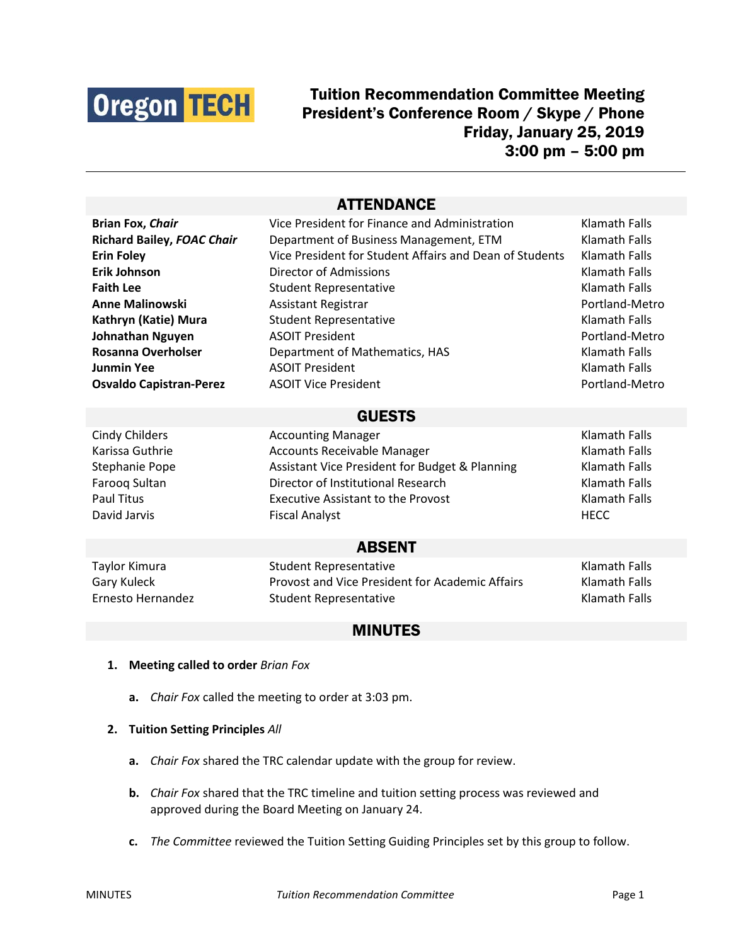

# Tuition Recommendation Committee Meeting President's Conference Room / Skype / Phone Friday, January 25, 2019 3:00 pm – 5:00 pm

## **ATTENDANCE**

| <b>Brian Fox, Chair</b>           | Vice President for Finance and Administration           | Klamath Falls        |
|-----------------------------------|---------------------------------------------------------|----------------------|
| <b>Richard Bailey, FOAC Chair</b> | Department of Business Management, ETM                  | <b>Klamath Falls</b> |
| <b>Erin Foley</b>                 | Vice President for Student Affairs and Dean of Students | <b>Klamath Falls</b> |
| <b>Erik Johnson</b>               | Director of Admissions                                  | Klamath Falls        |
| <b>Faith Lee</b>                  | <b>Student Representative</b>                           | <b>Klamath Falls</b> |
| <b>Anne Malinowski</b>            | Assistant Registrar                                     | Portland-Metro       |
| Kathryn (Katie) Mura              | <b>Student Representative</b>                           | Klamath Falls        |
| Johnathan Nguyen                  | <b>ASOIT President</b>                                  | Portland-Metro       |
| <b>Rosanna Overholser</b>         | Department of Mathematics, HAS                          | <b>Klamath Falls</b> |
| <b>Junmin Yee</b>                 | <b>ASOIT President</b>                                  | <b>Klamath Falls</b> |
| <b>Osvaldo Capistran-Perez</b>    | <b>ASOIT Vice President</b>                             | Portland-Metro       |
| <b>GUESTS</b>                     |                                                         |                      |
| <b>Cindy Childers</b>             | <b>Accounting Manager</b>                               | <b>Klamath Falls</b> |
| Karissa Guthrie                   | <b>Accounts Receivable Manager</b>                      | Klamath Falls        |
| Stephanie Pope                    | Assistant Vice President for Budget & Planning          | <b>Klamath Falls</b> |
| Farooq Sultan                     | Director of Institutional Research                      | <b>Klamath Falls</b> |
| <b>Paul Titus</b>                 | <b>Executive Assistant to the Provost</b>               | <b>Klamath Falls</b> |
| David Jarvis                      | <b>Fiscal Analyst</b>                                   | <b>HECC</b>          |
| <b>ABSENT</b>                     |                                                         |                      |
| Taylor Kimura                     | <b>Student Representative</b>                           | <b>Klamath Falls</b> |
| Gary Kuleck                       | Provost and Vice President for Academic Affairs         | Klamath Falls        |
| Ernesto Hernandez                 | <b>Student Representative</b>                           | <b>Klamath Falls</b> |

### MINUTES

- **1. Meeting called to order** *Brian Fox*
	- **a.** *Chair Fox* called the meeting to order at 3:03 pm.
- **2. Tuition Setting Principles** *All*
	- **a.** *Chair Fox* shared the TRC calendar update with the group for review.
	- **b.** *Chair Fox* shared that the TRC timeline and tuition setting process was reviewed and approved during the Board Meeting on January 24.
	- **c.** *The Committee* reviewed the Tuition Setting Guiding Principles set by this group to follow.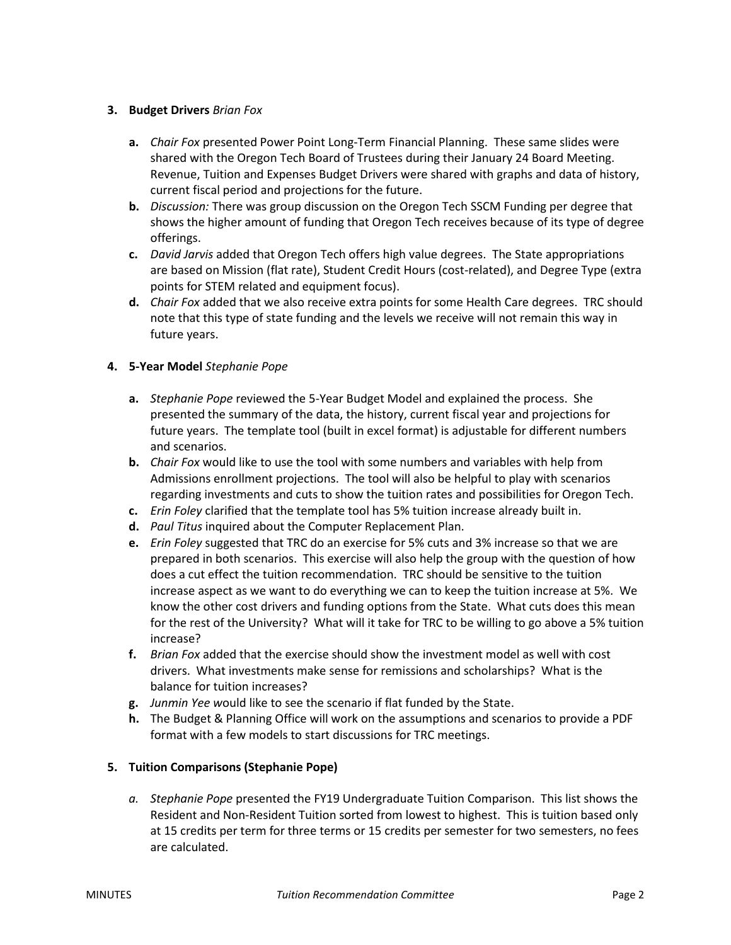#### **3. Budget Drivers** *Brian Fox*

- **a.** *Chair Fox* presented Power Point Long-Term Financial Planning. These same slides were shared with the Oregon Tech Board of Trustees during their January 24 Board Meeting. Revenue, Tuition and Expenses Budget Drivers were shared with graphs and data of history, current fiscal period and projections for the future.
- **b.** *Discussion:* There was group discussion on the Oregon Tech SSCM Funding per degree that shows the higher amount of funding that Oregon Tech receives because of its type of degree offerings.
- **c.** *David Jarvis* added that Oregon Tech offers high value degrees. The State appropriations are based on Mission (flat rate), Student Credit Hours (cost-related), and Degree Type (extra points for STEM related and equipment focus).
- **d.** *Chair Fox* added that we also receive extra points for some Health Care degrees. TRC should note that this type of state funding and the levels we receive will not remain this way in future years.

#### **4. 5-Year Model** *Stephanie Pope*

- **a.** *Stephanie Pope* reviewed the 5-Year Budget Model and explained the process. She presented the summary of the data, the history, current fiscal year and projections for future years. The template tool (built in excel format) is adjustable for different numbers and scenarios.
- **b.** *Chair Fox* would like to use the tool with some numbers and variables with help from Admissions enrollment projections. The tool will also be helpful to play with scenarios regarding investments and cuts to show the tuition rates and possibilities for Oregon Tech.
- **c.** *Erin Foley* clarified that the template tool has 5% tuition increase already built in.
- **d.** *Paul Titus* inquired about the Computer Replacement Plan.
- **e.** *Erin Foley* suggested that TRC do an exercise for 5% cuts and 3% increase so that we are prepared in both scenarios. This exercise will also help the group with the question of how does a cut effect the tuition recommendation.TRC should be sensitive to the tuition increase aspect as we want to do everything we can to keep the tuition increase at 5%. We know the other cost drivers and funding options from the State. What cuts does this mean for the rest of the University? What will it take for TRC to be willing to go above a 5% tuition increase?
- **f.** *Brian Fox* added that the exercise should show the investment model as well with cost drivers. What investments make sense for remissions and scholarships? What is the balance for tuition increases?
- **g.** *Junmin Yee w*ould like to see the scenario if flat funded by the State.
- **h.** The Budget & Planning Office will work on the assumptions and scenarios to provide a PDF format with a few models to start discussions for TRC meetings.

#### **5. Tuition Comparisons (Stephanie Pope)**

*a. Stephanie Pope* presented the FY19 Undergraduate Tuition Comparison. This list shows the Resident and Non-Resident Tuition sorted from lowest to highest. This is tuition based only at 15 credits per term for three terms or 15 credits per semester for two semesters, no fees are calculated.